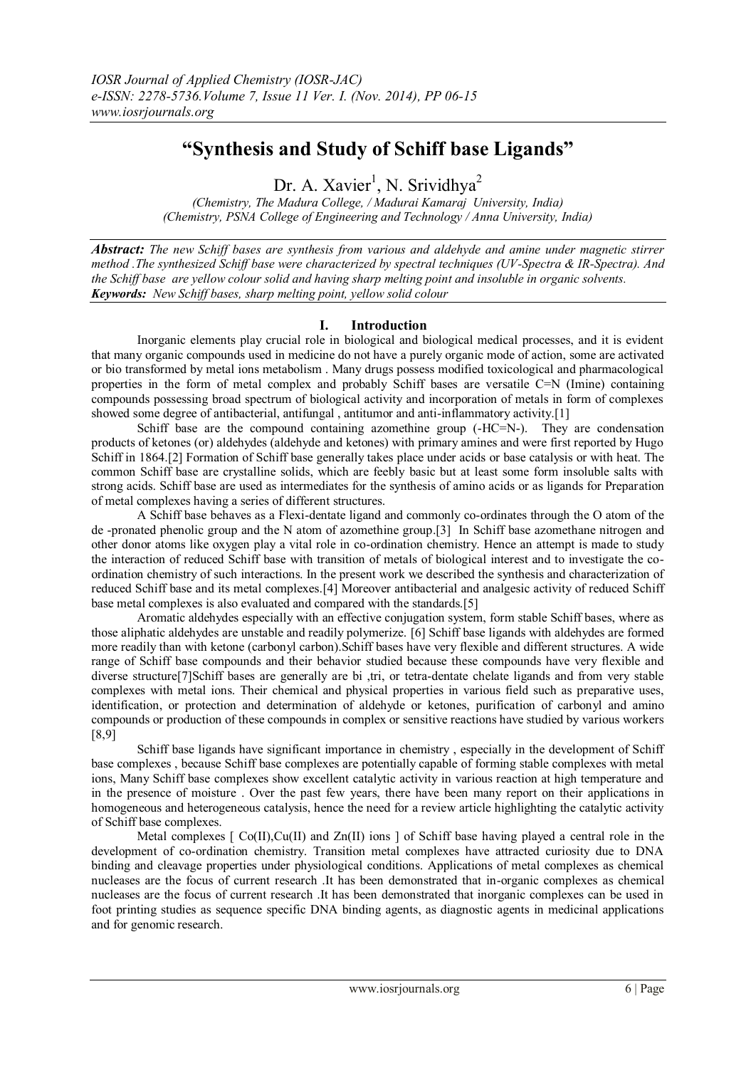# **"Synthesis and Study of Schiff base Ligands"**

Dr. A. Xavier<sup>1</sup>, N. Srividhya<sup>2</sup>

*(Chemistry, The Madura College, / Madurai Kamaraj University, India) (Chemistry, PSNA College of Engineering and Technology / Anna University, India)*

*Abstract: The new Schiff bases are synthesis from various and aldehyde and amine under magnetic stirrer method .The synthesized Schiff base were characterized by spectral techniques (UV-Spectra & IR-Spectra). And the Schiff base are yellow colour solid and having sharp melting point and insoluble in organic solvents. Keywords: New Schiff bases, sharp melting point, yellow solid colour*

## **I. Introduction**

Inorganic elements play crucial role in biological and biological medical processes, and it is evident that many organic compounds used in medicine do not have a purely organic mode of action, some are activated or bio transformed by metal ions metabolism . Many drugs possess modified toxicological and pharmacological properties in the form of metal complex and probably Schiff bases are versatile C=N (Imine) containing compounds possessing broad spectrum of biological activity and incorporation of metals in form of complexes showed some degree of antibacterial, antifungal , antitumor and anti-inflammatory activity.[1]

Schiff base are the compound containing azomethine group (-HC=N-). They are condensation products of ketones (or) aldehydes (aldehyde and ketones) with primary amines and were first reported by Hugo Schiff in 1864.[2] Formation of Schiff base generally takes place under acids or base catalysis or with heat. The common Schiff base are crystalline solids, which are feebly basic but at least some form insoluble salts with strong acids. Schiff base are used as intermediates for the synthesis of amino acids or as ligands for Preparation of metal complexes having a series of different structures.

A Schiff base behaves as a Flexi-dentate ligand and commonly co-ordinates through the O atom of the de -pronated phenolic group and the N atom of azomethine group.[3] In Schiff base azomethane nitrogen and other donor atoms like oxygen play a vital role in co-ordination chemistry. Hence an attempt is made to study the interaction of reduced Schiff base with transition of metals of biological interest and to investigate the coordination chemistry of such interactions. In the present work we described the synthesis and characterization of reduced Schiff base and its metal complexes.[4] Moreover antibacterial and analgesic activity of reduced Schiff base metal complexes is also evaluated and compared with the standards.[5]

Aromatic aldehydes especially with an effective conjugation system, form stable Schiff bases, where as those aliphatic aldehydes are unstable and readily polymerize. [6] Schiff base ligands with aldehydes are formed more readily than with ketone (carbonyl carbon).Schiff bases have very flexible and different structures. A wide range of Schiff base compounds and their behavior studied because these compounds have very flexible and diverse structure[7]Schiff bases are generally are bi ,tri, or tetra-dentate chelate ligands and from very stable complexes with metal ions. Their chemical and physical properties in various field such as preparative uses, identification, or protection and determination of aldehyde or ketones, purification of carbonyl and amino compounds or production of these compounds in complex or sensitive reactions have studied by various workers [8,9]

Schiff base ligands have significant importance in chemistry , especially in the development of Schiff base complexes , because Schiff base complexes are potentially capable of forming stable complexes with metal ions, Many Schiff base complexes show excellent catalytic activity in various reaction at high temperature and in the presence of moisture . Over the past few years, there have been many report on their applications in homogeneous and heterogeneous catalysis, hence the need for a review article highlighting the catalytic activity of Schiff base complexes.

Metal complexes  $\lceil \text{Co(II)}, \text{Cu(II)} \rceil$  and  $\text{Zn(II)}$  ions  $\lceil \text{of Schiff base having played a central role in the} \rceil$ development of co-ordination chemistry. Transition metal complexes have attracted curiosity due to DNA binding and cleavage properties under physiological conditions. Applications of metal complexes as chemical nucleases are the focus of current research .It has been demonstrated that in-organic complexes as chemical nucleases are the focus of current research .It has been demonstrated that inorganic complexes can be used in foot printing studies as sequence specific DNA binding agents, as diagnostic agents in medicinal applications and for genomic research.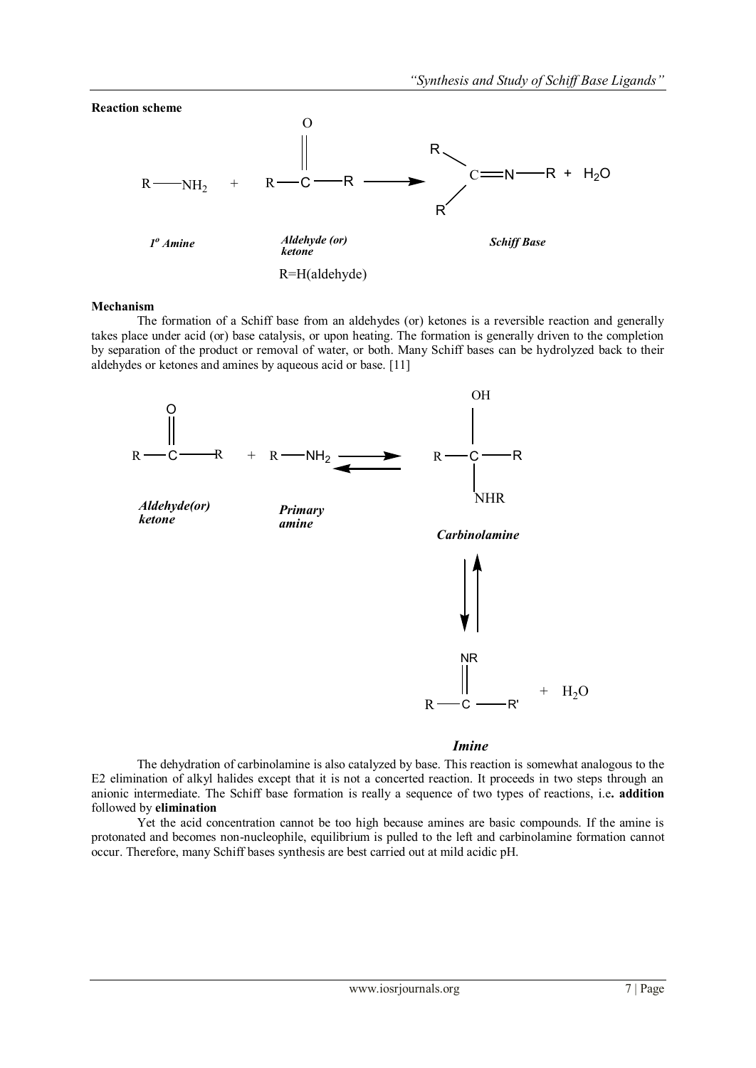

#### **Mechanism**

The formation of a Schiff base from an aldehydes (or) ketones is a reversible reaction and generally takes place under acid (or) base catalysis, or upon heating. The formation is generally driven to the completion by separation of the product or removal of water, or both. Many Schiff bases can be hydrolyzed back to their aldehydes or ketones and amines by aqueous acid or base. [11]



#### *Imine*

The dehydration of carbinolamine is also catalyzed by base. This reaction is somewhat analogous to the E2 elimination of alkyl halides except that it is not a concerted reaction. It proceeds in two steps through an anionic intermediate. The Schiff base formation is really a sequence of two types of reactions, i.e**. addition** followed by **elimination**

Yet the acid concentration cannot be too high because amines are basic compounds. If the amine is protonated and becomes non-nucleophile, equilibrium is pulled to the left and carbinolamine formation cannot occur. Therefore, many Schiff bases synthesis are best carried out at mild acidic pH.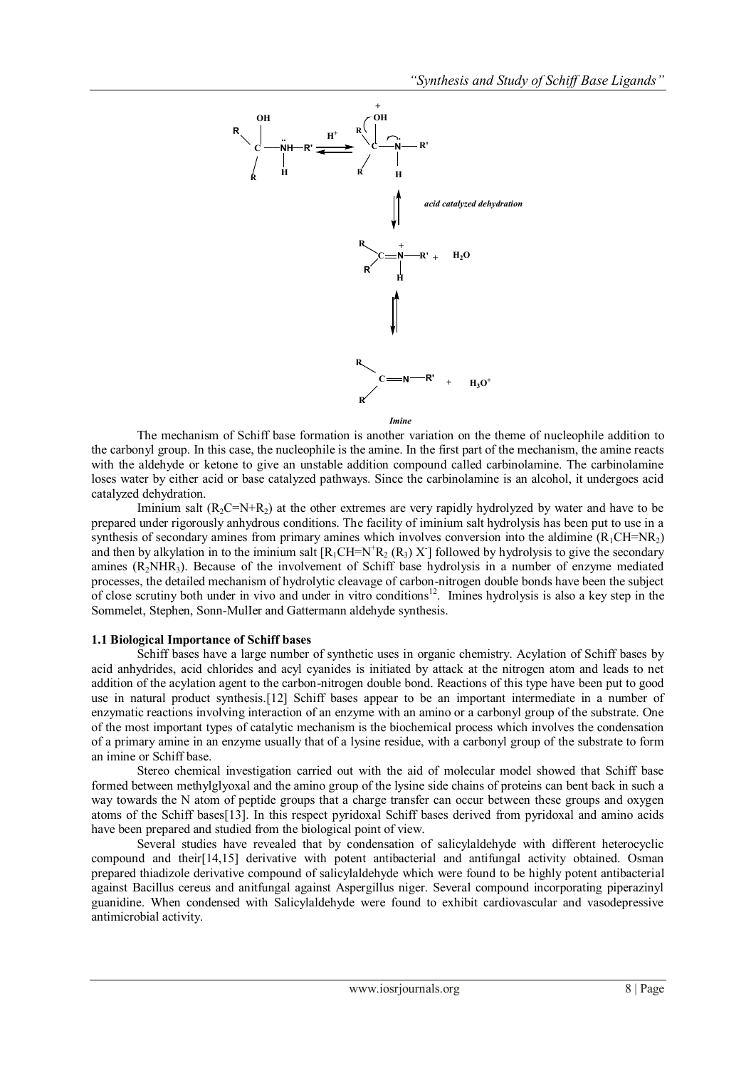

The mechanism of Schiff base formation is another variation on the theme of nucleophile addition to the carbonyl group. In this case, the nucleophile is the amine. In the first part of the mechanism, the amine reacts with the aldehyde or ketone to give an unstable addition compound called carbinolamine. The carbinolamine loses water by either acid or base catalyzed pathways. Since the carbinolamine is an alcohol, it undergoes acid catalyzed dehydration.

Iminium salt  $(R_2C=N+R_2)$  at the other extremes are very rapidly hydrolyzed by water and have to be prepared under rigorously anhydrous conditions. The facility of iminium salt hydrolysis has been put to use in a synthesis of secondary amines from primary amines which involves conversion into the aldimine  $(R_1CH=NR_2)$ and then by alkylation in to the iminium salt  $[R_1CH=N^+R_2 (R_3) X]$  followed by hydrolysis to give the secondary amines  $(R_2NHR_3)$ . Because of the involvement of Schiff base hydrolysis in a number of enzyme mediated processes, the detailed mechanism of hydrolytic cleavage of carbon-nitrogen double bonds have been the subject of close scrutiny both under in vivo and under in vitro conditions<sup>12</sup>. Imines hydrolysis is also a key step in the Sommelet, Stephen, Sonn-MulIer and Gattermann aldehyde synthesis.

#### **1.1 Biological Importance of Schiff bases**

Schiff bases have a large number of synthetic uses in organic chemistry. Acylation of Schiff bases by acid anhydrides, acid chlorides and acyl cyanides is initiated by attack at the nitrogen atom and leads to net addition of the acylation agent to the carbon-nitrogen double bond. Reactions of this type have been put to good use in natural product synthesis.[12] Schiff bases appear to be an important intermediate in a number of enzymatic reactions involving interaction of an enzyme with an amino or a carbonyl group of the substrate. One of the most important types of catalytic mechanism is the biochemical process which involves the condensation of a primary amine in an enzyme usually that of a lysine residue, with a carbonyl group of the substrate to form an imine or Schiff base.

Stereo chemical investigation carried out with the aid of molecular model showed that Schiff base formed between methylglyoxal and the amino group of the lysine side chains of proteins can bent back in such a way towards the N atom of peptide groups that a charge transfer can occur between these groups and oxygen atoms of the Schiff bases[13]. In this respect pyridoxal Schiff bases derived from pyridoxal and amino acids have been prepared and studied from the biological point of view.

Several studies have revealed that by condensation of salicylaldehyde with different heterocyclic compound and their[14,15] derivative with potent antibacterial and antifungal activity obtained. Osman prepared thiadizole derivative compound of salicylaldehyde which were found to be highly potent antibacterial against Bacillus cereus and anitfungal against Aspergillus niger. Several compound incorporating piperazinyl guanidine. When condensed with Salicylaldehyde were found to exhibit cardiovascular and vasodepressive antimicrobial activity.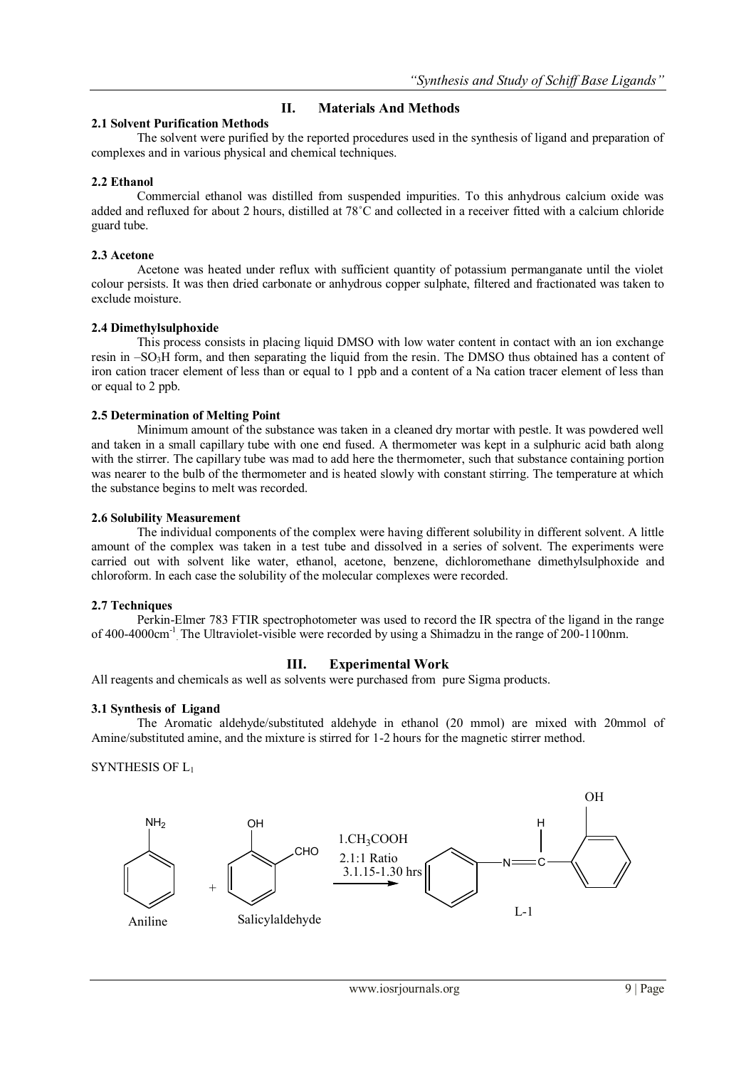# **II. Materials And Methods**

## **2.1 Solvent Purification Methods**

The solvent were purified by the reported procedures used in the synthesis of ligand and preparation of complexes and in various physical and chemical techniques.

## **2.2 Ethanol**

Commercial ethanol was distilled from suspended impurities. To this anhydrous calcium oxide was added and refluxed for about 2 hours, distilled at 78˚C and collected in a receiver fitted with a calcium chloride guard tube.

## **2.3 Acetone**

Acetone was heated under reflux with sufficient quantity of potassium permanganate until the violet colour persists. It was then dried carbonate or anhydrous copper sulphate, filtered and fractionated was taken to exclude moisture.

## **2.4 Dimethylsulphoxide**

This process consists in placing liquid DMSO with low water content in contact with an ion exchange resin in –SO<sub>3</sub>H form, and then separating the liquid from the resin. The DMSO thus obtained has a content of iron cation tracer element of less than or equal to 1 ppb and a content of a Na cation tracer element of less than or equal to 2 ppb.

## **2.5 Determination of Melting Point**

Minimum amount of the substance was taken in a cleaned dry mortar with pestle. It was powdered well and taken in a small capillary tube with one end fused. A thermometer was kept in a sulphuric acid bath along with the stirrer. The capillary tube was mad to add here the thermometer, such that substance containing portion was nearer to the bulb of the thermometer and is heated slowly with constant stirring. The temperature at which the substance begins to melt was recorded.

### **2.6 Solubility Measurement**

The individual components of the complex were having different solubility in different solvent. A little amount of the complex was taken in a test tube and dissolved in a series of solvent. The experiments were carried out with solvent like water, ethanol, acetone, benzene, dichloromethane dimethylsulphoxide and chloroform. In each case the solubility of the molecular complexes were recorded.

### **2.7 Techniques**

Perkin-Elmer 783 FTIR spectrophotometer was used to record the IR spectra of the ligand in the range of 400-4000cm<sup>-1</sup> The Ultraviolet-visible were recorded by using a Shimadzu in the range of 200-1100nm.

## **III. Experimental Work**

All reagents and chemicals as well as solvents were purchased from pure Sigma products.

### **3.1 Synthesis of Ligand**

The Aromatic aldehyde/substituted aldehyde in ethanol (20 mmol) are mixed with 20mmol of Amine/substituted amine, and the mixture is stirred for 1-2 hours for the magnetic stirrer method.

## SYNTHESIS OF L<sup>1</sup>

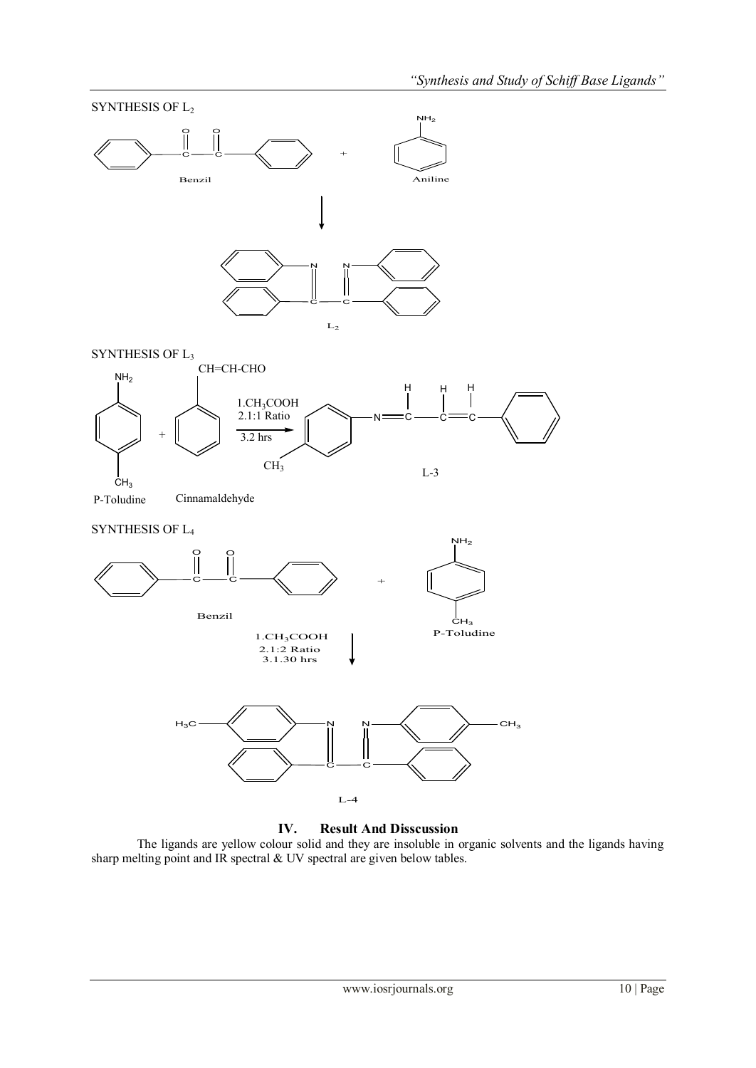

The ligands are yellow colour solid and they are insoluble in organic solvents and the ligands having sharp melting point and IR spectral & UV spectral are given below tables.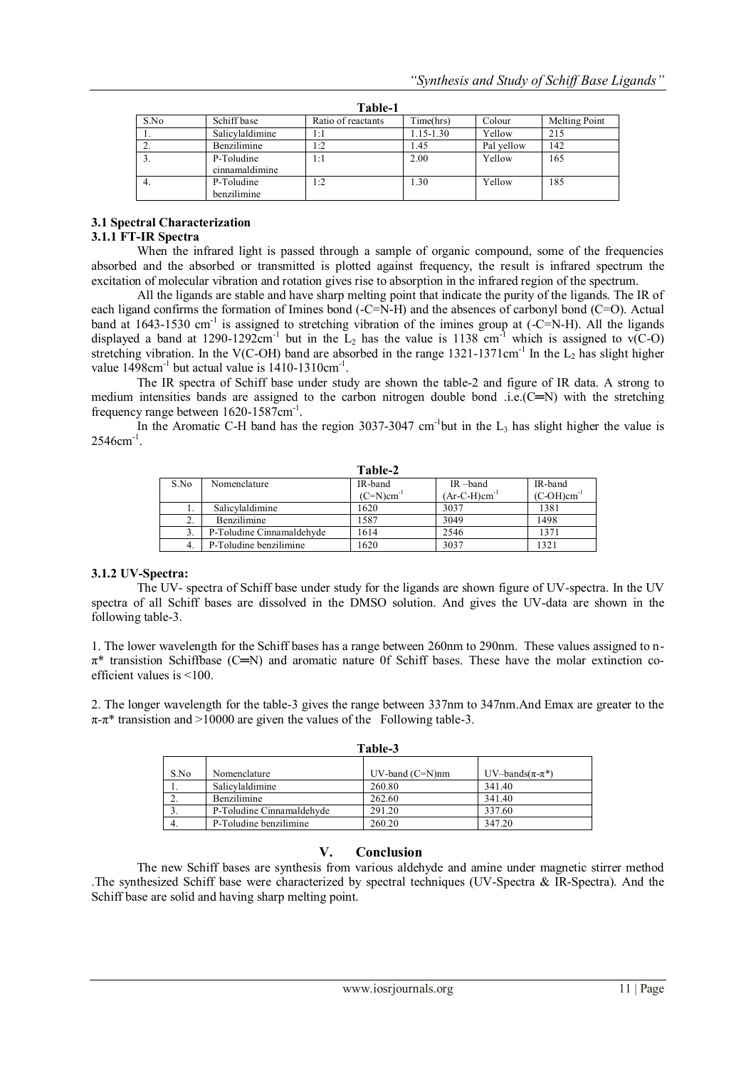| .    |                              |                    |               |            |               |
|------|------------------------------|--------------------|---------------|------------|---------------|
| S.No | Schiff base                  | Ratio of reactants | Time(hrs)     | Colour     | Melting Point |
|      | Salicylaldimine              | 1:1                | $1.15 - 1.30$ | Yellow     | 215           |
| ٠.   | Benzilimine                  | 1:2                | 1.45          | Pal vellow | 142           |
|      | P-Toludine<br>cinnamaldimine | 1:1                | 2.00          | Yellow     | 165           |
| 4.   | P-Toludine<br>benzilimine    | 1:2                | 1.30          | Yellow     | 185           |

**Table-1**

# **3.1 Spectral Characterization**

# **3.1.1 FT-IR Spectra**

When the infrared light is passed through a sample of organic compound, some of the frequencies absorbed and the absorbed or transmitted is plotted against frequency, the result is infrared spectrum the excitation of molecular vibration and rotation gives rise to absorption in the infrared region of the spectrum.

All the ligands are stable and have sharp melting point that indicate the purity of the ligands. The IR of each ligand confirms the formation of Imines bond (-C=N-H) and the absences of carbonyl bond (C=O). Actual band at 1643-1530 cm<sup>-1</sup> is assigned to stretching vibration of the imines group at  $(-C=N-H)$ . All the ligands displayed a band at 1290-1292cm<sup>-1</sup> but in the  $L_2$  has the value is 1138 cm<sup>-1</sup> which is assigned to v(C-O) stretching vibration. In the V(C-OH) band are absorbed in the range  $1321-1371$ cm<sup>-1</sup> In the L<sub>2</sub> has slight higher value  $1498 \text{cm}^{-1}$  but actual value is  $1410 - 1310 \text{cm}^{-1}$ .

The IR spectra of Schiff base under study are shown the table-2 and figure of IR data. A strong to medium intensities bands are assigned to the carbon nitrogen double bond .i.e. $(C=N)$  with the stretching frequency range between 1620-1587cm<sup>-1</sup>.

In the Aromatic C-H band has the region 3037-3047 cm<sup>-1</sup>but in the  $L_3$  has slight higher the value is  $2546$ cm<sup>-1</sup>.

| Table-2 |                           |                          |                   |                 |  |  |
|---------|---------------------------|--------------------------|-------------------|-----------------|--|--|
| S.No    | Nomenclature              | IR-band                  | IR-band           | IR-band         |  |  |
|         |                           | $(C=N)$ cm <sup>-1</sup> | $(Ar-C-H)cm^{-1}$ | $(C-OH)cm^{-1}$ |  |  |
|         | Salicylaldimine           | 1620                     | 3037              | 1381            |  |  |
| ◠       | <b>Benzilimine</b>        | 1587                     | 3049              | 1498            |  |  |
|         | P-Toludine Cinnamaldehyde | 1614                     | 2546              | 1371            |  |  |
|         | P-Toludine benzilimine    | 1620                     | 3037              | 1321            |  |  |

#### **3.1.2 UV-Spectra:**

The UV- spectra of Schiff base under study for the ligands are shown figure of UV-spectra. In the UV spectra of all Schiff bases are dissolved in the DMSO solution. And gives the UV-data are shown in the following table-3.

1. The lower wavelength for the Schiff bases has a range between 260nm to 290nm. These values assigned to n- $\pi^*$  transistion Schiffbase (C $=$ N) and aromatic nature 0f Schiff bases. These have the molar extinction coefficient values is <100.

2. The longer wavelength for the table-3 gives the range between 337nm to 347nm.And Emax are greater to the  $\pi$ - $\pi$ <sup>\*</sup> transistion and >10000 are given the values of the Following table-3.

| Table-3 |                           |                       |                        |  |  |  |
|---------|---------------------------|-----------------------|------------------------|--|--|--|
| S.No    | Nomenclature              | $UV$ -band $(C=N)$ nm | UV-bands $(\pi-\pi^*)$ |  |  |  |
|         | Salicylaldimine           | 260.80                | 341.40                 |  |  |  |
|         | <b>Benzilimine</b>        | 262.60                | 341.40                 |  |  |  |
|         | P-Toludine Cinnamaldehyde | 291.20                | 337.60                 |  |  |  |
| 4.      | P-Toludine benzilimine    | 260.20                | 347.20                 |  |  |  |

## **V. Conclusion**

The new Schiff bases are synthesis from various aldehyde and amine under magnetic stirrer method .The synthesized Schiff base were characterized by spectral techniques (UV-Spectra & IR-Spectra). And the Schiff base are solid and having sharp melting point.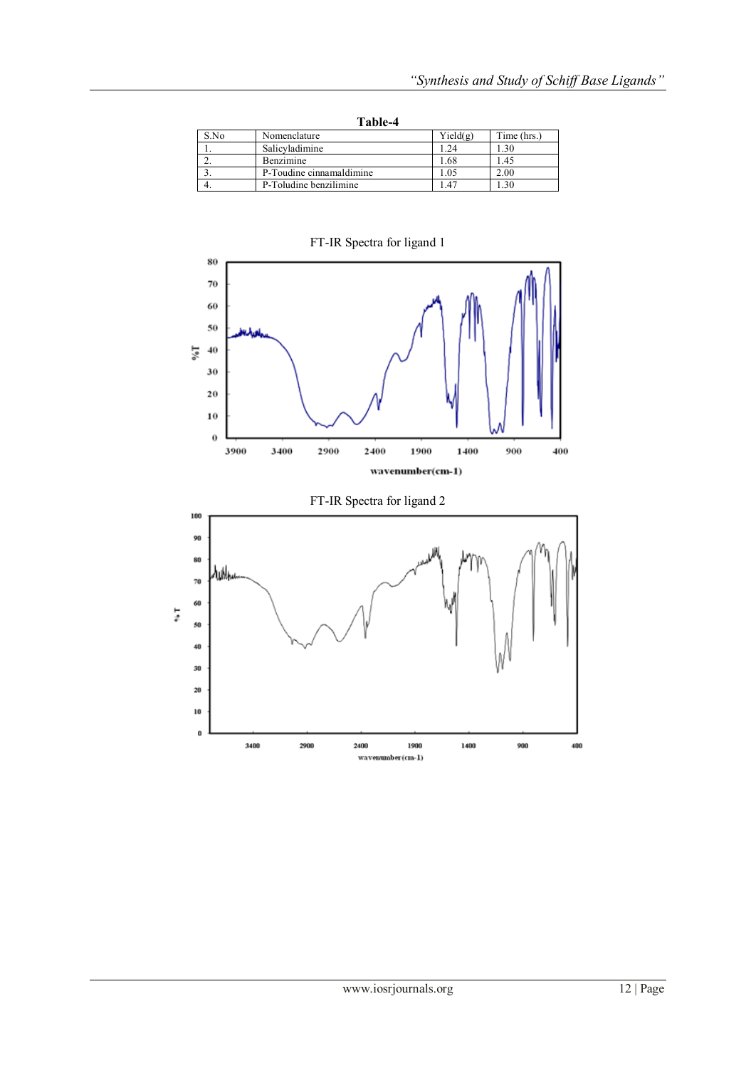| Table-4 |                          |          |             |  |  |
|---------|--------------------------|----------|-------------|--|--|
| S.No    | Nomenclature             | Yield(g) | Time (hrs.) |  |  |
|         | Salicyladimine           | 24       | 1.30        |  |  |
|         | Benzimine                | 1.68     | 1.45        |  |  |
|         | P-Toudine cinnamaldimine | .05      | 2.00        |  |  |
|         | P-Toludine benzilimine   | .47      | -30         |  |  |

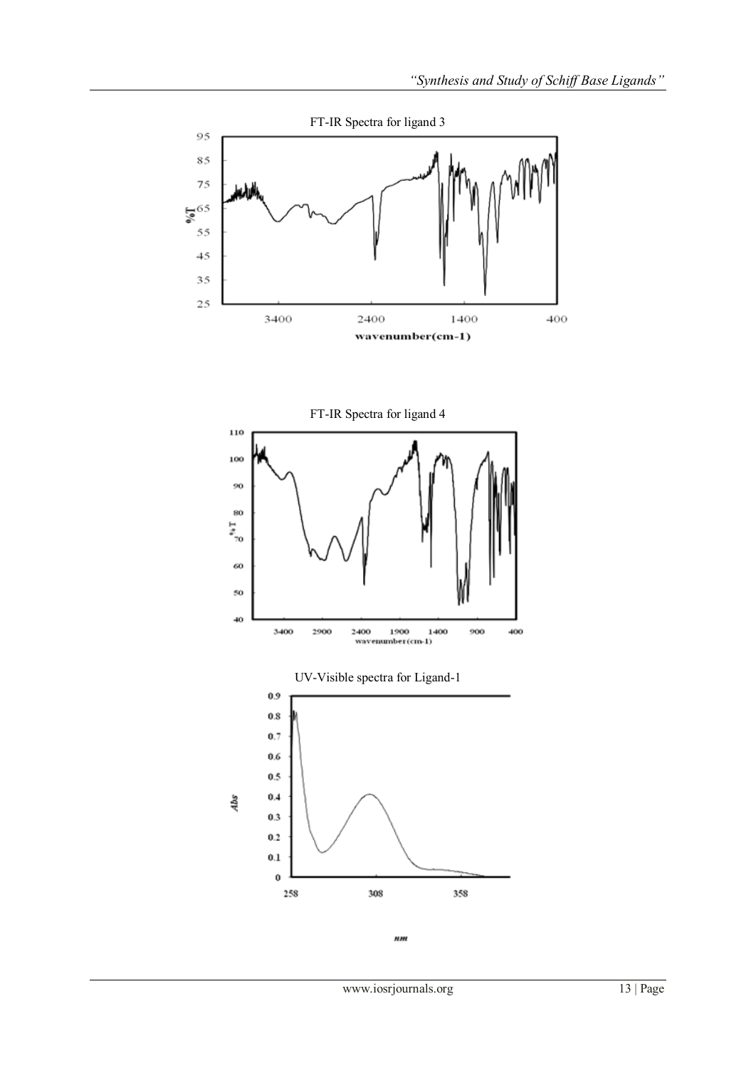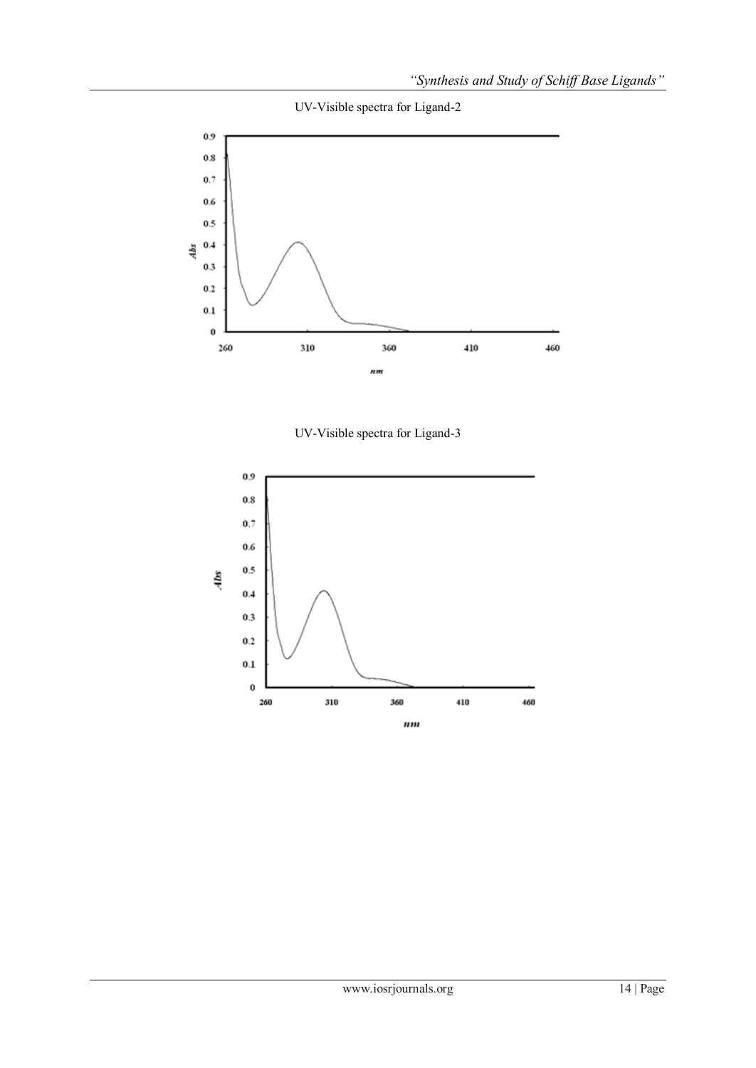UV-Visible spectra for Ligand-2



UV-Visible spectra for Ligand-3